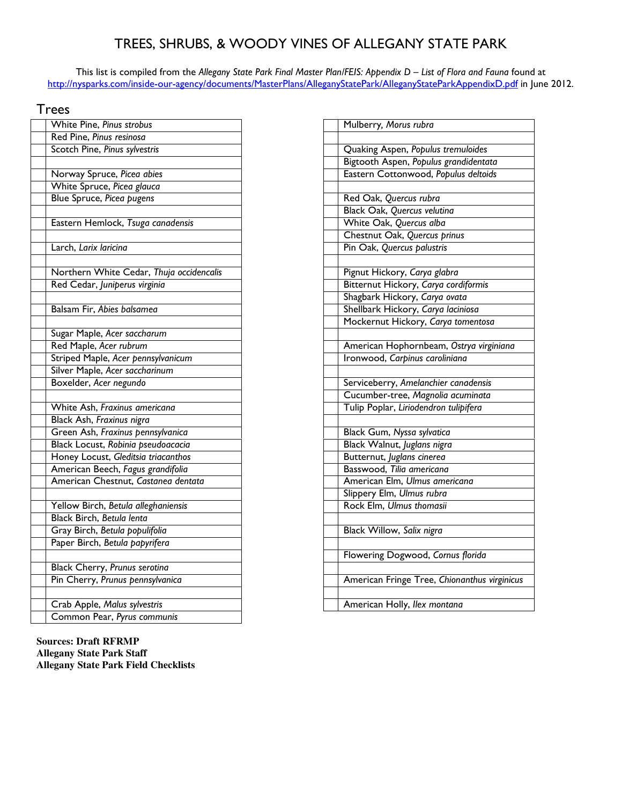## TREES, SHRUBS, & WOODY VINES OF ALLEGANY STATE PARK

This list is compiled from the Allegany State Park Final Master Plan/FEIS: Appendix D – List of Flora and Fauna found at http://nysparks.com/inside-our-agency/documents/MasterPlans/AlleganyStatePark/AlleganyStateParkAppendixD.pdf in June 2012.

## **Trees**

| White Pine, Pinus strobus                |
|------------------------------------------|
| Red Pine, Pinus resinosa                 |
| Scotch Pine, Pinus sylvestris            |
|                                          |
| Norway Spruce, Picea abies               |
| White Spruce, Picea glauca               |
| Blue Spruce, Picea pugens                |
|                                          |
| Eastern Hemlock, Tsuga canadensis        |
|                                          |
| Larch, Larix laricina                    |
|                                          |
| Northern White Cedar, Thuja occidencalis |
| Red Cedar, Juniperus virginia            |
|                                          |
| Balsam Fir, Abies balsamea               |
|                                          |
| Sugar Maple, Acer saccharum              |
| Red Maple, Acer rubrum                   |
| Striped Maple, Acer pennsylvanicum       |
| Silver Maple, Acer saccharinum           |
| Boxelder, Acer negundo                   |
|                                          |
| White Ash, Fraxinus americana            |
| Black Ash, Fraxinus nigra                |
| Green Ash, Fraxinus pennsylvanica        |
| Black Locust, Robinia pseudoacacia       |
| Honey Locust, Gleditsia triacanthos      |
| American Beech, Fagus grandifolia        |
| American Chestnut, Castanea dentata      |
|                                          |
| Yellow Birch, Betula alleghaniensis      |
| Black Birch, Betula lenta                |
| Gray Birch, Betula populifolia           |
| Paper Birch, Betula papyrifera           |
|                                          |
| Black Cherry, Prunus serotina            |
| Pin Cherry, Prunus pennsylvanica         |
|                                          |
| Crab Apple, Malus sylvestris             |
| Common Pear, Pyrus communis              |

**Sources: Draft RFRMP Allegany State Park Staff Allegany State Park Field Checklists** 

| Mulberry, Morus rubra                        |
|----------------------------------------------|
|                                              |
| Quaking Aspen, Populus tremuloides           |
| Bigtooth Aspen, Populus grandidentata        |
| Eastern Cottonwood, Populus deltoids         |
|                                              |
| Red Oak, Quercus rubra                       |
| Black Oak, Quercus velutina                  |
| White Oak, Quercus alba                      |
| Chestnut Oak, Quercus prinus                 |
| Pin Oak, Quercus palustris                   |
|                                              |
| Pignut Hickory, Carya glabra                 |
| Bitternut Hickory, Carya cordiformis         |
| Shagbark Hickory, Carya ovata                |
| Shellbark Hickory, Carya laciniosa           |
| Mockernut Hickory, Carya tomentosa           |
|                                              |
| American Hophornbeam, Ostrya virginiana      |
| Ironwood, Carpinus caroliniana               |
|                                              |
| Serviceberry, Amelanchier canadensis         |
| Cucumber-tree, Magnolia acuminata            |
| Tulip Poplar, Liriodendron tulipifera        |
|                                              |
| Black Gum, Nyssa sylvatica                   |
| Black Walnut, Juglans nigra                  |
| Butternut, Juglans cinerea                   |
| Basswood, Tilia americana                    |
| American Elm, Ulmus americana                |
| Slippery Elm, Ulmus rubra                    |
| Rock Elm, Ulmus thomasii                     |
|                                              |
| Black Willow, Salix nigra                    |
|                                              |
| Flowering Dogwood, Cornus florida            |
|                                              |
| American Fringe Tree, Chionanthus virginicus |
|                                              |
| American Holly, Ilex montana                 |